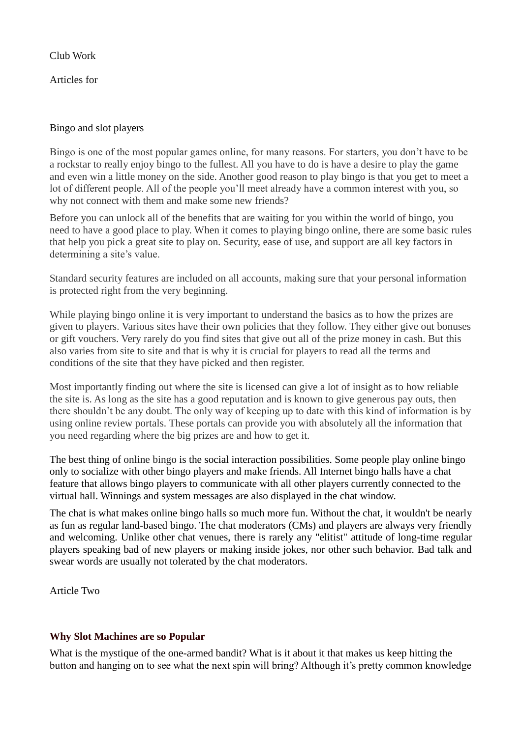Club Work

Articles for

## Bingo and slot players

Bingo is one of the most popular games online, for many reasons. For starters, you don't have to be a rockstar to really enjoy bingo to the fullest. All you have to do is have a desire to play the game and even win a little money on the side. Another good reason to play bingo is that you get to meet a lot of different people. All of the people you'll meet already have a common interest with you, so why not connect with them and make some new friends?

Before you can unlock all of the benefits that are waiting for you within the world of bingo, you need to have a good place to play. When it comes to playing bingo online, there are some basic rules that help you pick a great site to play on. Security, ease of use, and support are all key factors in determining a site's value.

Standard security features are included on all accounts, making sure that your personal information is protected right from the very beginning.

While playing bingo online it is very important to understand the basics as to how the prizes are given to players. Various sites have their own policies that they follow. They either give out bonuses or gift vouchers. Very rarely do you find sites that give out all of the prize money in cash. But this also varies from site to site and that is why it is crucial for players to read all the terms and conditions of the site that they have picked and then register.

Most importantly finding out where the site is licensed can give a lot of insight as to how reliable the site is. As long as the site has a good reputation and is known to give generous pay outs, then there shouldn't be any doubt. The only way of keeping up to date with this kind of information is by using online review portals. These portals can provide you with absolutely all the information that you need regarding where the big prizes are and how to get it.

The best thing of online bingo is the social interaction possibilities. Some people play online bingo only to socialize with other bingo players and make friends. All Internet bingo halls have a chat feature that allows bingo players to communicate with all other players currently connected to the virtual hall. Winnings and system messages are also displayed in the chat window.

The chat is what makes online bingo halls so much more fun. Without the chat, it wouldn't be nearly as fun as regular land-based bingo. The chat moderators (CMs) and players are always very friendly and welcoming. Unlike other chat venues, there is rarely any "elitist" attitude of long-time regular players speaking bad of new players or making inside jokes, nor other such behavior. Bad talk and swear words are usually not tolerated by the chat moderators.

Article Two

# **Why Slot Machines are so Popular**

What is the mystique of the one-armed bandit? What is it about it that makes us keep hitting the button and hanging on to see what the next spin will bring? Although it's pretty common knowledge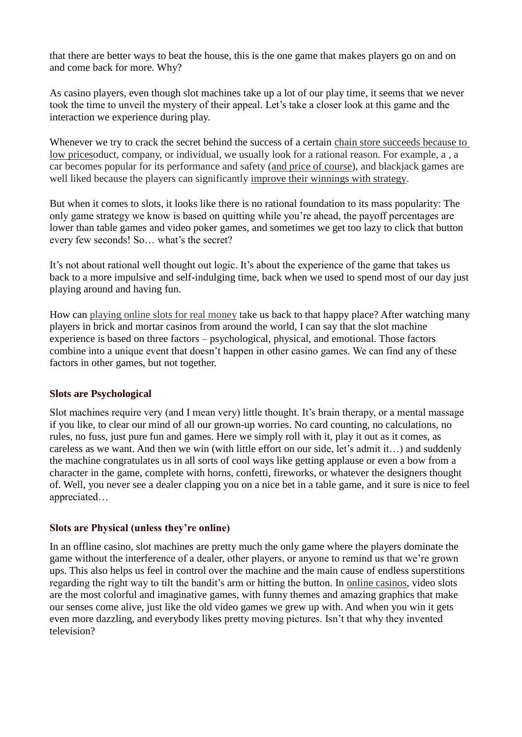that there are better ways to beat the house, this is the one game that makes players go on and on and come back for more. Why?

As casino players, even though slot machines take up a lot of our play time, it seems that we never took the time to unveil the mystery of their appeal. Let's take a closer look at this game and the interaction we experience during play.

Whenever we try to crack the secret behind the success of a certain chain store succeeds because to low pricesoduct, company, or individual, we usually look for a rational reason. For example, a, a car becomes popular for its performance and safety (and price of course), and blackjack games are well liked because the players can significantly improve their winnings with strategy.

But when it comes to slots, it looks like there is no rational foundation to its mass popularity: The only game strategy we know is based on quitting while you're ahead, the payoff percentages are lower than table games and video poker games, and sometimes we get too lazy to click that button every few seconds! So… what's the secret?

It's not about rational well thought out logic. It's about the experience of the game that takes us back to a more impulsive and self-indulging time, back when we used to spend most of our day just playing around and having fun.

How can playing online slots for real money take us back to that happy place? After watching many players in brick and mortar casinos from around the world, I can say that the slot machine experience is based on three factors – psychological, physical, and emotional. Those factors combine into a unique event that doesn't happen in other casino games. We can find any of these factors in other games, but not together.

# **Slots are Psychological**

Slot machines require very (and I mean very) little thought. It's brain therapy, or a mental massage if you like, to clear our mind of all our grown-up worries. No card counting, no calculations, no rules, no fuss, just pure fun and games. Here we simply roll with it, play it out as it comes, as careless as we want. And then we win (with little effort on our side, let's admit it…) and suddenly the machine congratulates us in all sorts of cool ways like getting applause or even a bow from a character in the game, complete with horns, confetti, fireworks, or whatever the designers thought of. Well, you never see a dealer clapping you on a nice bet in a table game, and it sure is nice to feel appreciated…

### **Slots are Physical (unless they're online)**

In an offline casino, slot machines are pretty much the only game where the players dominate the game without the interference of a dealer, other players, or anyone to remind us that we're grown ups. This also helps us feel in control over the machine and the main cause of endless superstitions regarding the right way to tilt the bandit's arm or hitting the button. In online casinos, video slots are the most colorful and imaginative games, with funny themes and amazing graphics that make our senses come alive, just like the old video games we grew up with. And when you win it gets even more dazzling, and everybody likes pretty moving pictures. Isn't that why they invented television?